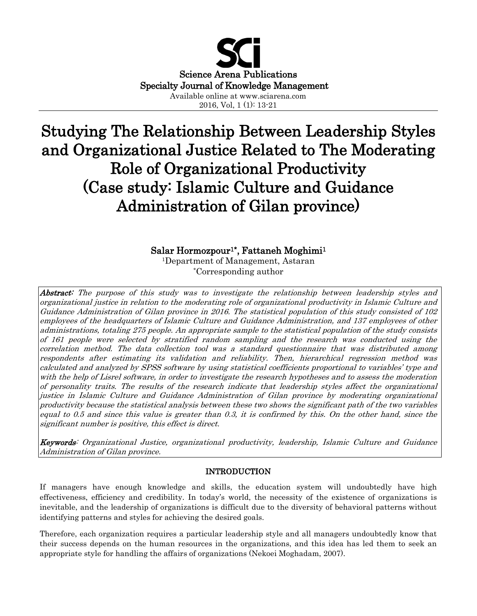

# Studying The Relationship Between Leadership Styles and Organizational Justice Related to The Moderating Role of Organizational Productivity (Case study: Islamic Culture and Guidance Administration of Gilan province)

# Salar Hormozpour<sup>1\*</sup>, Fattaneh Moghimi<sup>1</sup>

<sup>1</sup>Department of Management, Astaran \*Corresponding author

Abstract: The purpose of this study was to investigate the relationship between leadership styles and organizational justice in relation to the moderating role of organizational productivity in Islamic Culture and Guidance Administration of Gilan province in 2016. The statistical population of this study consisted of 102 employees of the headquarters of Islamic Culture and Guidance Administration, and 137 employees of other administrations, totaling 275 people. An appropriate sample to the statistical population of the study consists of 161 people were selected by stratified random sampling and the research was conducted using the correlation method. The data collection tool was a standard questionnaire that was distributed among respondents after estimating its validation and reliability. Then, hierarchical regression method was calculated and analyzed by SPSS software by using statistical coefficients proportional to variables' type and with the help of Lisrel software, in order to investigate the research hypotheses and to assess the moderation of personality traits. The results of the research indicate that leadership styles affect the organizational justice in Islamic Culture and Guidance Administration of Gilan province by moderating organizational productivity because the statistical analysis between these two shows the significant path of the two variables equal to 0.5 and since this value is greater than 0.3, it is confirmed by this. On the other hand, since the significant number is positive, this effect is direct.

Keywords: Organizational Justice, organizational productivity, leadership, Islamic Culture and Guidance Administration of Gilan province.

# INTRODUCTION

If managers have enough knowledge and skills, the education system will undoubtedly have high effectiveness, efficiency and credibility. In today's world, the necessity of the existence of organizations is inevitable, and the leadership of organizations is difficult due to the diversity of behavioral patterns without identifying patterns and styles for achieving the desired goals.

Therefore, each organization requires a particular leadership style and all managers undoubtedly know that their success depends on the human resources in the organizations, and this idea has led them to seek an appropriate style for handling the affairs of organizations (Nekoei Moghadam, 2007).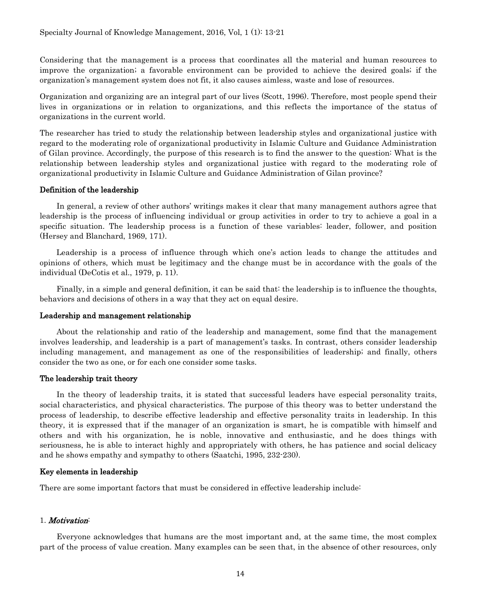Considering that the management is a process that coordinates all the material and human resources to improve the organization; a favorable environment can be provided to achieve the desired goals; if the organization's management system does not fit, it also causes aimless, waste and lose of resources.

Organization and organizing are an integral part of our lives (Scott, 1996). Therefore, most people spend their lives in organizations or in relation to organizations, and this reflects the importance of the status of organizations in the current world.

The researcher has tried to study the relationship between leadership styles and organizational justice with regard to the moderating role of organizational productivity in Islamic Culture and Guidance Administration of Gilan province. Accordingly, the purpose of this research is to find the answer to the question: What is the relationship between leadership styles and organizational justice with regard to the moderating role of organizational productivity in Islamic Culture and Guidance Administration of Gilan province?

## Definition of the leadership

In general, a review of other authors' writings makes it clear that many management authors agree that leadership is the process of influencing individual or group activities in order to try to achieve a goal in a specific situation. The leadership process is a function of these variables: leader, follower, and position (Hersey and Blanchard, 1969, 171).

Leadership is a process of influence through which one's action leads to change the attitudes and opinions of others, which must be legitimacy and the change must be in accordance with the goals of the individual (DeCotis et al., 1979, p. 11).

Finally, in a simple and general definition, it can be said that: the leadership is to influence the thoughts, behaviors and decisions of others in a way that they act on equal desire.

#### Leadership and management relationship

About the relationship and ratio of the leadership and management, some find that the management involves leadership, and leadership is a part of management's tasks. In contrast, others consider leadership including management, and management as one of the responsibilities of leadership; and finally, others consider the two as one, or for each one consider some tasks.

# The leadership trait theory

In the theory of leadership traits, it is stated that successful leaders have especial personality traits, social characteristics, and physical characteristics. The purpose of this theory was to better understand the process of leadership, to describe effective leadership and effective personality traits in leadership. In this theory, it is expressed that if the manager of an organization is smart, he is compatible with himself and others and with his organization, he is noble, innovative and enthusiastic, and he does things with seriousness, he is able to interact highly and appropriately with others, he has patience and social delicacy and he shows empathy and sympathy to others (Saatchi, 1995, 232-230).

#### Key elements in leadership

There are some important factors that must be considered in effective leadership include:

# 1. Motivation:

Everyone acknowledges that humans are the most important and, at the same time, the most complex part of the process of value creation. Many examples can be seen that, in the absence of other resources, only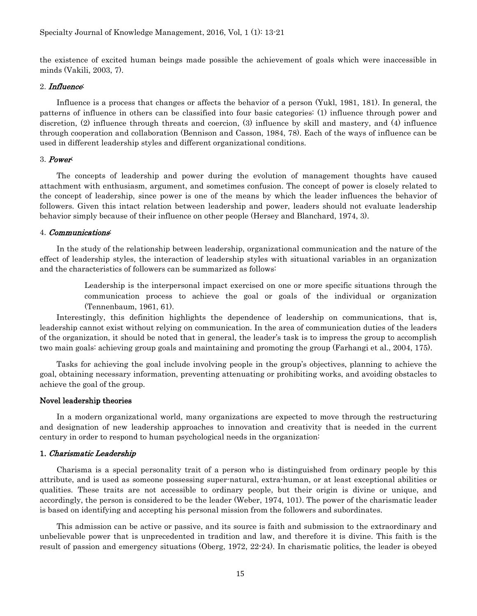the existence of excited human beings made possible the achievement of goals which were inaccessible in minds (Vakili, 2003, 7).

#### 2. Influence:

Influence is a process that changes or affects the behavior of a person (Yukl, 1981, 181). In general, the patterns of influence in others can be classified into four basic categories: (1) influence through power and discretion, (2) influence through threats and coercion, (3) influence by skill and mastery, and (4) influence through cooperation and collaboration (Bennison and Casson, 1984, 78). Each of the ways of influence can be used in different leadership styles and different organizational conditions.

#### 3. Power:

The concepts of leadership and power during the evolution of management thoughts have caused attachment with enthusiasm, argument, and sometimes confusion. The concept of power is closely related to the concept of leadership, since power is one of the means by which the leader influences the behavior of followers. Given this intact relation between leadership and power, leaders should not evaluate leadership behavior simply because of their influence on other people (Hersey and Blanchard, 1974, 3).

#### 4. Communications:

In the study of the relationship between leadership, organizational communication and the nature of the effect of leadership styles, the interaction of leadership styles with situational variables in an organization and the characteristics of followers can be summarized as follows:

> Leadership is the interpersonal impact exercised on one or more specific situations through the communication process to achieve the goal or goals of the individual or organization (Tennenbaum, 1961, 61).

Interestingly, this definition highlights the dependence of leadership on communications, that is, leadership cannot exist without relying on communication. In the area of communication duties of the leaders of the organization, it should be noted that in general, the leader's task is to impress the group to accomplish two main goals: achieving group goals and maintaining and promoting the group (Farhangi et al., 2004, 175).

Tasks for achieving the goal include involving people in the group's objectives, planning to achieve the goal, obtaining necessary information, preventing attenuating or prohibiting works, and avoiding obstacles to achieve the goal of the group.

#### Novel leadership theories

In a modern organizational world, many organizations are expected to move through the restructuring and designation of new leadership approaches to innovation and creativity that is needed in the current century in order to respond to human psychological needs in the organization:

#### 1. Charismatic Leadership

Charisma is a special personality trait of a person who is distinguished from ordinary people by this attribute, and is used as someone possessing super-natural, extra-human, or at least exceptional abilities or qualities. These traits are not accessible to ordinary people, but their origin is divine or unique, and accordingly, the person is considered to be the leader (Weber, 1974, 101). The power of the charismatic leader is based on identifying and accepting his personal mission from the followers and subordinates.

This admission can be active or passive, and its source is faith and submission to the extraordinary and unbelievable power that is unprecedented in tradition and law, and therefore it is divine. This faith is the result of passion and emergency situations (Oberg, 1972, 22-24). In charismatic politics, the leader is obeyed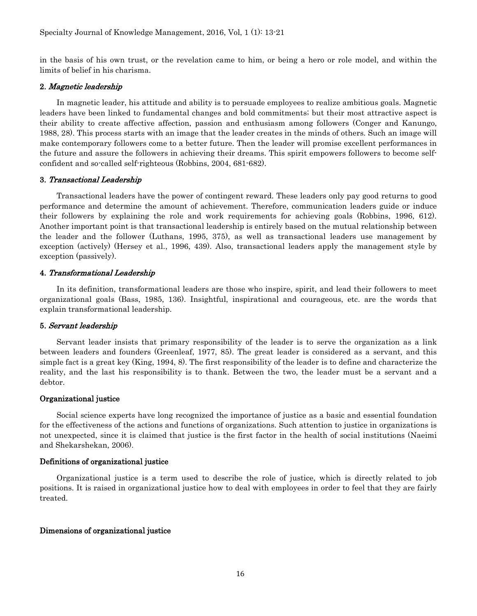in the basis of his own trust, or the revelation came to him, or being a hero or role model, and within the limits of belief in his charisma.

# 2. Magnetic leadership

In magnetic leader, his attitude and ability is to persuade employees to realize ambitious goals. Magnetic leaders have been linked to fundamental changes and bold commitments; but their most attractive aspect is their ability to create affective affection, passion and enthusiasm among followers (Conger and Kanungo, 1988, 28). This process starts with an image that the leader creates in the minds of others. Such an image will make contemporary followers come to a better future. Then the leader will promise excellent performances in the future and assure the followers in achieving their dreams. This spirit empowers followers to become selfconfident and so-called self-righteous (Robbins, 2004, 681-682).

# 3. Transactional Leadership

Transactional leaders have the power of contingent reward. These leaders only pay good returns to good performance and determine the amount of achievement. Therefore, communication leaders guide or induce their followers by explaining the role and work requirements for achieving goals (Robbins, 1996, 612). Another important point is that transactional leadership is entirely based on the mutual relationship between the leader and the follower (Luthans, 1995, 375), as well as transactional leaders use management by exception (actively) (Hersey et al., 1996, 439). Also, transactional leaders apply the management style by exception (passively).

## 4. Transformational Leadership

In its definition, transformational leaders are those who inspire, spirit, and lead their followers to meet organizational goals (Bass, 1985, 136). Insightful, inspirational and courageous, etc. are the words that explain transformational leadership.

# 5. Servant leadership

Servant leader insists that primary responsibility of the leader is to serve the organization as a link between leaders and founders (Greenleaf, 1977, 85). The great leader is considered as a servant, and this simple fact is a great key (King, 1994, 8). The first responsibility of the leader is to define and characterize the reality, and the last his responsibility is to thank. Between the two, the leader must be a servant and a debtor.

#### Organizational justice

Social science experts have long recognized the importance of justice as a basic and essential foundation for the effectiveness of the actions and functions of organizations. Such attention to justice in organizations is not unexpected, since it is claimed that justice is the first factor in the health of social institutions (Naeimi and Shekarshekan, 2006).

# Definitions of organizational justice

Organizational justice is a term used to describe the role of justice, which is directly related to job positions. It is raised in organizational justice how to deal with employees in order to feel that they are fairly treated.

# Dimensions of organizational justice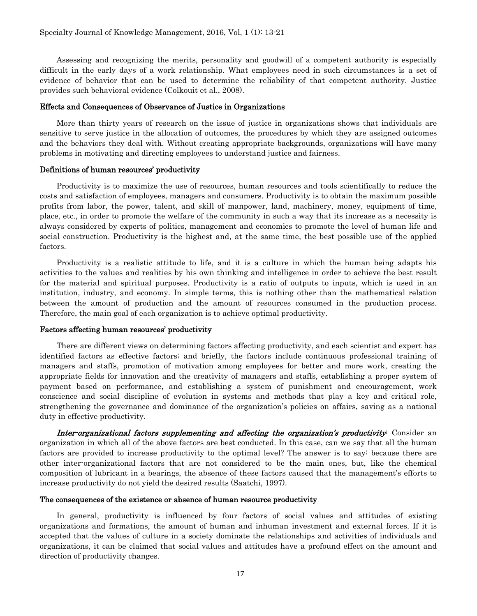Assessing and recognizing the merits, personality and goodwill of a competent authority is especially difficult in the early days of a work relationship. What employees need in such circumstances is a set of evidence of behavior that can be used to determine the reliability of that competent authority. Justice provides such behavioral evidence (Colkouit et al., 2008).

#### Effects and Consequences of Observance of Justice in Organizations

More than thirty years of research on the issue of justice in organizations shows that individuals are sensitive to serve justice in the allocation of outcomes, the procedures by which they are assigned outcomes and the behaviors they deal with. Without creating appropriate backgrounds, organizations will have many problems in motivating and directing employees to understand justice and fairness.

#### Definitions of human resources' productivity

Productivity is to maximize the use of resources, human resources and tools scientifically to reduce the costs and satisfaction of employees, managers and consumers. Productivity is to obtain the maximum possible profits from labor, the power, talent, and skill of manpower, land, machinery, money, equipment of time, place, etc., in order to promote the welfare of the community in such a way that its increase as a necessity is always considered by experts of politics, management and economics to promote the level of human life and social construction. Productivity is the highest and, at the same time, the best possible use of the applied factors.

Productivity is a realistic attitude to life, and it is a culture in which the human being adapts his activities to the values and realities by his own thinking and intelligence in order to achieve the best result for the material and spiritual purposes. Productivity is a ratio of outputs to inputs, which is used in an institution, industry, and economy. In simple terms, this is nothing other than the mathematical relation between the amount of production and the amount of resources consumed in the production process. Therefore, the main goal of each organization is to achieve optimal productivity.

#### Factors affecting human resources' productivity

There are different views on determining factors affecting productivity, and each scientist and expert has identified factors as effective factors; and briefly, the factors include continuous professional training of managers and staffs, promotion of motivation among employees for better and more work, creating the appropriate fields for innovation and the creativity of managers and staffs, establishing a proper system of payment based on performance, and establishing a system of punishment and encouragement, work conscience and social discipline of evolution in systems and methods that play a key and critical role, strengthening the governance and dominance of the organization's policies on affairs, saving as a national duty in effective productivity.

Inter-organizational factors supplementing and affecting the organization's productivity: Consider an organization in which all of the above factors are best conducted. In this case, can we say that all the human factors are provided to increase productivity to the optimal level? The answer is to say: because there are other inter-organizational factors that are not considered to be the main ones, but, like the chemical composition of lubricant in a bearings, the absence of these factors caused that the management's efforts to increase productivity do not yield the desired results (Saatchi, 1997).

#### The consequences of the existence or absence of human resource productivity

In general, productivity is influenced by four factors of social values and attitudes of existing organizations and formations, the amount of human and inhuman investment and external forces. If it is accepted that the values of culture in a society dominate the relationships and activities of individuals and organizations, it can be claimed that social values and attitudes have a profound effect on the amount and direction of productivity changes.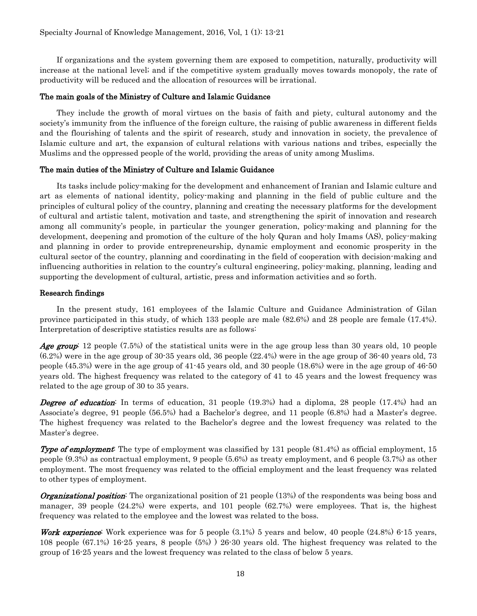If organizations and the system governing them are exposed to competition, naturally, productivity will increase at the national level; and if the competitive system gradually moves towards monopoly, the rate of productivity will be reduced and the allocation of resources will be irrational.

# The main goals of the Ministry of Culture and Islamic Guidance

They include the growth of moral virtues on the basis of faith and piety, cultural autonomy and the society's immunity from the influence of the foreign culture, the raising of public awareness in different fields and the flourishing of talents and the spirit of research, study and innovation in society, the prevalence of Islamic culture and art, the expansion of cultural relations with various nations and tribes, especially the Muslims and the oppressed people of the world, providing the areas of unity among Muslims.

## The main duties of the Ministry of Culture and Islamic Guidance

Its tasks include policy-making for the development and enhancement of Iranian and Islamic culture and art as elements of national identity, policy-making and planning in the field of public culture and the principles of cultural policy of the country, planning and creating the necessary platforms for the development of cultural and artistic talent, motivation and taste, and strengthening the spirit of innovation and research among all community's people, in particular the younger generation, policy-making and planning for the development, deepening and promotion of the culture of the holy Quran and holy Imams (AS), policy-making and planning in order to provide entrepreneurship, dynamic employment and economic prosperity in the cultural sector of the country, planning and coordinating in the field of cooperation with decision-making and influencing authorities in relation to the country's cultural engineering, policy-making, planning, leading and supporting the development of cultural, artistic, press and information activities and so forth.

#### Research findings

In the present study, 161 employees of the Islamic Culture and Guidance Administration of Gilan province participated in this study, of which 133 people are male (82.6%) and 28 people are female (17.4%). Interpretation of descriptive statistics results are as follows:

Age group: 12 people (7.5%) of the statistical units were in the age group less than 30 years old, 10 people (6.2%) were in the age group of 30-35 years old, 36 people (22.4%) were in the age group of 36-40 years old, 73 people (45.3%) were in the age group of 41-45 years old, and 30 people (18.6%) were in the age group of 46-50 years old. The highest frequency was related to the category of 41 to 45 years and the lowest frequency was related to the age group of 30 to 35 years.

**Degree of education**: In terms of education, 31 people (19.3%) had a diploma, 28 people (17.4%) had an Associate's degree, 91 people (56.5%) had a Bachelor's degree, and 11 people (6.8%) had a Master's degree. The highest frequency was related to the Bachelor's degree and the lowest frequency was related to the Master's degree.

**Type of employment**: The type of employment was classified by 131 people (81.4%) as official employment, 15 people (9.3%) as contractual employment, 9 people (5.6%) as treaty employment, and 6 people (3.7%) as other employment. The most frequency was related to the official employment and the least frequency was related to other types of employment.

**Organizational position**: The organizational position of 21 people (13%) of the respondents was being boss and manager, 39 people (24.2%) were experts, and 101 people (62.7%) were employees. That is, the highest frequency was related to the employee and the lowest was related to the boss.

**Work experience:** Work experience was for 5 people  $(3.1\%)$  5 years and below, 40 people  $(24.8\%)$  6-15 years, 108 people (67.1%) 16-25 years, 8 people (5%) ) 26-30 years old. The highest frequency was related to the group of 16-25 years and the lowest frequency was related to the class of below 5 years.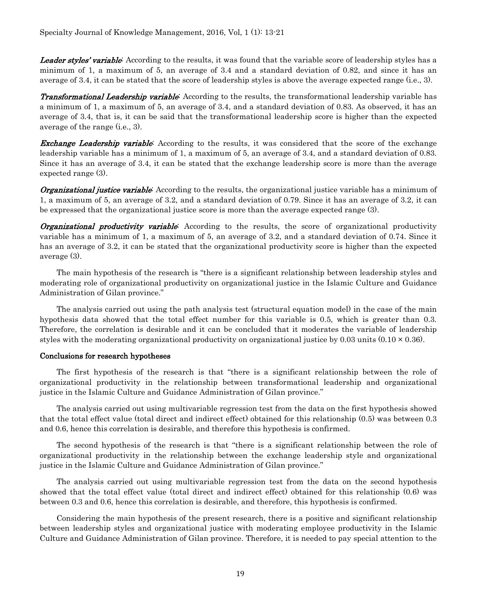Leader styles' variable: According to the results, it was found that the variable score of leadership styles has a minimum of 1, a maximum of 5, an average of 3.4 and a standard deviation of 0.82, and since it has an average of 3.4, it can be stated that the score of leadership styles is above the average expected range (i.e., 3).

Transformational Leadership variable: According to the results, the transformational leadership variable has a minimum of 1, a maximum of 5, an average of 3.4, and a standard deviation of 0.83. As observed, it has an average of 3.4, that is, it can be said that the transformational leadership score is higher than the expected average of the range (i.e., 3).

**Exchange Leadership variable:** According to the results, it was considered that the score of the exchange leadership variable has a minimum of 1, a maximum of 5, an average of 3.4, and a standard deviation of 0.83. Since it has an average of 3.4, it can be stated that the exchange leadership score is more than the average expected range (3).

**Organizational justice variable**: According to the results, the organizational justice variable has a minimum of 1, a maximum of 5, an average of 3.2, and a standard deviation of 0.79. Since it has an average of 3.2, it can be expressed that the organizational justice score is more than the average expected range (3).

**Organizational productivity variable:** According to the results, the score of organizational productivity variable has a minimum of 1, a maximum of 5, an average of 3.2, and a standard deviation of 0.74. Since it has an average of 3.2, it can be stated that the organizational productivity score is higher than the expected average (3).

The main hypothesis of the research is "there is a significant relationship between leadership styles and moderating role of organizational productivity on organizational justice in the Islamic Culture and Guidance Administration of Gilan province."

The analysis carried out using the path analysis test (structural equation model) in the case of the main hypothesis data showed that the total effect number for this variable is 0.5, which is greater than 0.3. Therefore, the correlation is desirable and it can be concluded that it moderates the variable of leadership styles with the moderating organizational productivity on organizational justice by 0.03 units  $(0.10 \times 0.36)$ .

# Conclusions for research hypotheses

The first hypothesis of the research is that "there is a significant relationship between the role of organizational productivity in the relationship between transformational leadership and organizational justice in the Islamic Culture and Guidance Administration of Gilan province."

The analysis carried out using multivariable regression test from the data on the first hypothesis showed that the total effect value (total direct and indirect effect) obtained for this relationship (0.5) was between 0.3 and 0.6, hence this correlation is desirable, and therefore this hypothesis is confirmed.

The second hypothesis of the research is that "there is a significant relationship between the role of organizational productivity in the relationship between the exchange leadership style and organizational justice in the Islamic Culture and Guidance Administration of Gilan province."

The analysis carried out using multivariable regression test from the data on the second hypothesis showed that the total effect value (total direct and indirect effect) obtained for this relationship (0.6) was between 0.3 and 0.6, hence this correlation is desirable, and therefore, this hypothesis is confirmed.

Considering the main hypothesis of the present research, there is a positive and significant relationship between leadership styles and organizational justice with moderating employee productivity in the Islamic Culture and Guidance Administration of Gilan province. Therefore, it is needed to pay special attention to the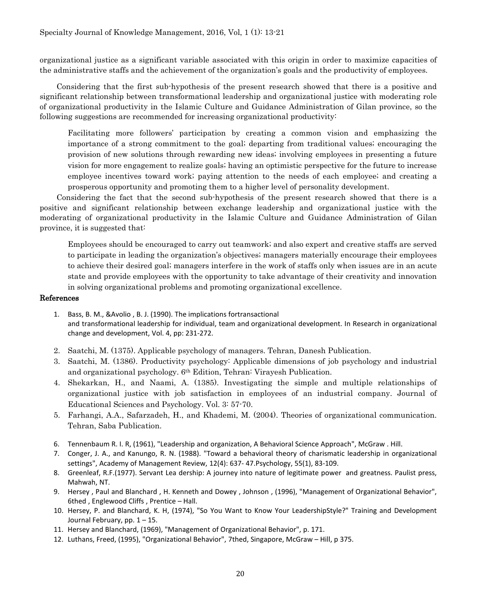organizational justice as a significant variable associated with this origin in order to maximize capacities of the administrative staffs and the achievement of the organization's goals and the productivity of employees.

Considering that the first sub-hypothesis of the present research showed that there is a positive and significant relationship between transformational leadership and organizational justice with moderating role of organizational productivity in the Islamic Culture and Guidance Administration of Gilan province, so the following suggestions are recommended for increasing organizational productivity:

Facilitating more followers' participation by creating a common vision and emphasizing the importance of a strong commitment to the goal; departing from traditional values; encouraging the provision of new solutions through rewarding new ideas; involving employees in presenting a future vision for more engagement to realize goals; having an optimistic perspective for the future to increase employee incentives toward work; paying attention to the needs of each employee; and creating a prosperous opportunity and promoting them to a higher level of personality development.

Considering the fact that the second sub-hypothesis of the present research showed that there is a positive and significant relationship between exchange leadership and organizational justice with the moderating of organizational productivity in the Islamic Culture and Guidance Administration of Gilan province, it is suggested that:

Employees should be encouraged to carry out teamwork; and also expert and creative staffs are served to participate in leading the organization's objectives; managers materially encourage their employees to achieve their desired goal; managers interfere in the work of staffs only when issues are in an acute state and provide employees with the opportunity to take advantage of their creativity and innovation in solving organizational problems and promoting organizational excellence.

# References

- 1. Bass, B. M., &Avolio , B. J. (1990). The implications fortransactional and transformational leadership for individual, team and organizational development. In Research in organizational change and development, Vol. 4, pp: 231-272.
- 2. Saatchi, M. (1375). Applicable psychology of managers. Tehran, Danesh Publication.
- 3. Saatchi, M. (1386). Productivity psychology: Applicable dimensions of job psychology and industrial and organizational psychology. 6th Edition, Tehran: Virayesh Publication.
- 4. Shekarkan, H., and Naami, A. (1385). Investigating the simple and multiple relationships of organizational justice with job satisfaction in employees of an industrial company. Journal of Educational Sciences and Psychology. Vol. 3: 57-70.
- 5. Farhangi, A.A., Safarzadeh, H., and Khademi, M. (2004). Theories of organizational communication. Tehran, Saba Publication.
- 6. Tennenbaum R. I. R, (1961), "Leadership and organization, A Behavioral Science Approach", McGraw . Hill.
- 7. Conger, J. A., and Kanungo, R. N. (1988). "Toward a behavioral theory of charismatic leadership in organizational settings", Academy of Management Review, 12(4): 637- 47.Psychology, 55(1), 83-109.
- 8. Greenleaf, R.F.(1977). Servant Lea dership: A journey into nature of legitimate power and greatness. Paulist press, Mahwah, NT.
- 9. Hersey , Paul and Blanchard , H. Kenneth and Dowey , Johnson , (1996), "Management of Organizational Behavior", 6thed , Englewood Cliffs , Prentice – Hall.
- 10. Hersey, P. and Blanchard, K. H, (1974), "So You Want to Know Your LeadershipStyle?" Training and Development Journal February, pp. 1 – 15.
- 11. Hersey and Blanchard, (1969), "Management of Organizational Behavior", p. 171.
- 12. Luthans, Freed, (1995), "Organizational Behavior", 7thed, Singapore, McGraw Hill, p 375.